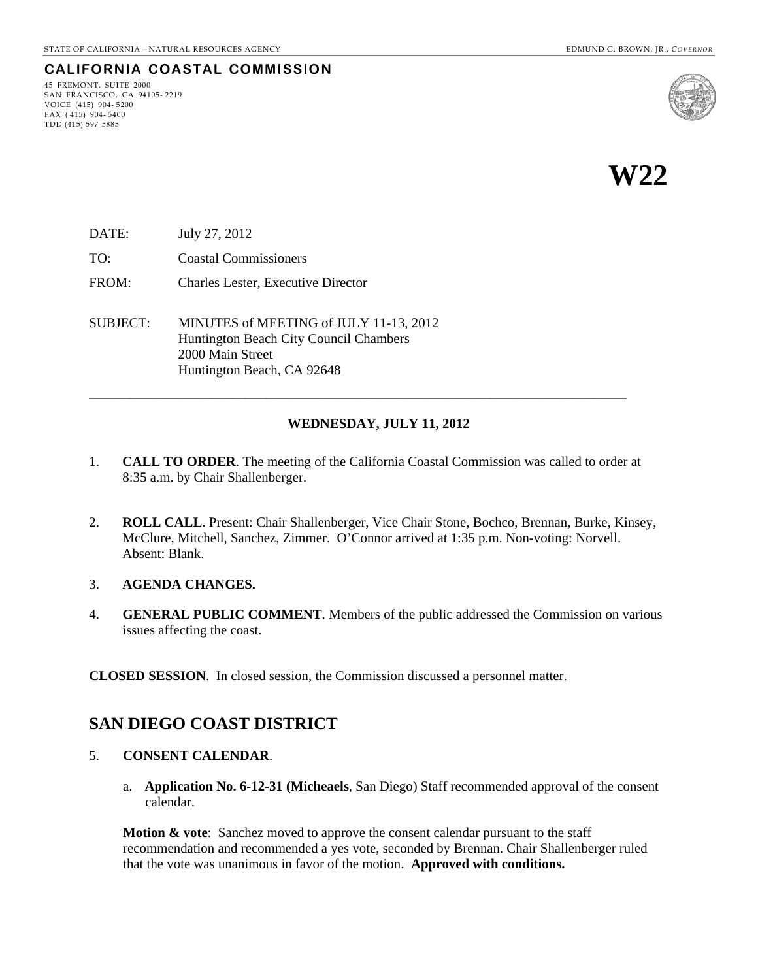## **CALIFORNIA COASTAL COMMISSION**

45 FREMONT, SUITE 2000 SAN FRANCISCO, CA 94105- 2219 VOICE (415) 904- 5200 FAX ( 415) 904- 5400 TDD (415) 597-5885



**W22** 

- DATE: July 27, 2012
- TO: Coastal Commissioners
- FROM: Charles Lester, Executive Director

SUBJECT: MINUTES of MEETING of JULY 11-13, 2012 Huntington Beach City Council Chambers 2000 Main Street Huntington Beach, CA 92648

#### **WEDNESDAY, JULY 11, 2012**

1. **CALL TO ORDER**. The meeting of the California Coastal Commission was called to order at 8:35 a.m. by Chair Shallenberger.

**\_\_\_\_\_\_\_\_\_\_\_\_\_\_\_\_\_\_\_\_\_\_\_\_\_\_\_\_\_\_\_\_\_\_\_\_\_\_\_\_\_\_\_\_\_\_\_\_\_\_\_\_\_\_\_\_\_\_\_\_\_\_\_\_\_\_\_\_\_\_\_\_\_\_\_\_\_\_\_** 

- 2. **ROLL CALL**. Present: Chair Shallenberger, Vice Chair Stone, Bochco, Brennan, Burke, Kinsey, McClure, Mitchell, Sanchez, Zimmer. O'Connor arrived at 1:35 p.m. Non-voting: Norvell. Absent: Blank.
- 3. **AGENDA CHANGES.**
- 4. **GENERAL PUBLIC COMMENT**. Members of the public addressed the Commission on various issues affecting the coast.

**CLOSED SESSION**. In closed session, the Commission discussed a personnel matter.

## **SAN DIEGO COAST DISTRICT**

- 5. **CONSENT CALENDAR**.
	- a. **Application No. 6-12-31 (Micheaels**, San Diego) Staff recommended approval of the consent calendar.

**Motion & vote:** Sanchez moved to approve the consent calendar pursuant to the staff recommendation and recommended a yes vote, seconded by Brennan. Chair Shallenberger ruled that the vote was unanimous in favor of the motion. **Approved with conditions.**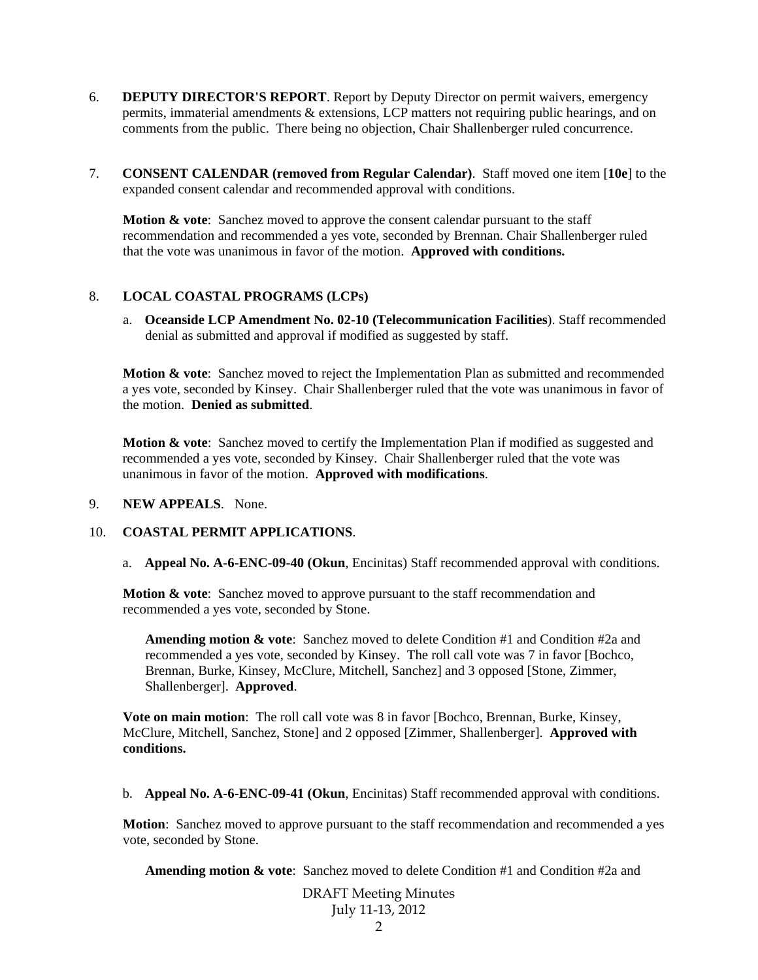- 6. **DEPUTY DIRECTOR'S REPORT**. Report by Deputy Director on permit waivers, emergency permits, immaterial amendments & extensions, LCP matters not requiring public hearings, and on comments from the public. There being no objection, Chair Shallenberger ruled concurrence.
- 7. **CONSENT CALENDAR (removed from Regular Calendar)**. Staff moved one item [**10e**] to the expanded consent calendar and recommended approval with conditions.

**Motion & vote:** Sanchez moved to approve the consent calendar pursuant to the staff recommendation and recommended a yes vote, seconded by Brennan. Chair Shallenberger ruled that the vote was unanimous in favor of the motion. **Approved with conditions.**

### 8. **LOCAL COASTAL PROGRAMS (LCPs)**

a. **Oceanside LCP Amendment No. 02-10 (Telecommunication Facilities**). Staff recommended denial as submitted and approval if modified as suggested by staff.

**Motion & vote**: Sanchez moved to reject the Implementation Plan as submitted and recommended a yes vote, seconded by Kinsey. Chair Shallenberger ruled that the vote was unanimous in favor of the motion. **Denied as submitted**.

Motion & vote: Sanchez moved to certify the Implementation Plan if modified as suggested and recommended a yes vote, seconded by Kinsey. Chair Shallenberger ruled that the vote was unanimous in favor of the motion. **Approved with modifications**.

#### 9. **NEW APPEALS**. None.

#### 10. **COASTAL PERMIT APPLICATIONS**.

a. **Appeal No. A-6-ENC-09-40 (Okun**, Encinitas) Staff recommended approval with conditions.

**Motion & vote:** Sanchez moved to approve pursuant to the staff recommendation and recommended a yes vote, seconded by Stone.

**Amending motion & vote**: Sanchez moved to delete Condition #1 and Condition #2a and recommended a yes vote, seconded by Kinsey. The roll call vote was 7 in favor [Bochco, Brennan, Burke, Kinsey, McClure, Mitchell, Sanchez] and 3 opposed [Stone, Zimmer, Shallenberger]. **Approved**.

**Vote on main motion**: The roll call vote was 8 in favor [Bochco, Brennan, Burke, Kinsey, McClure, Mitchell, Sanchez, Stone] and 2 opposed [Zimmer, Shallenberger]. **Approved with conditions.**

b. **Appeal No. A-6-ENC-09-41 (Okun**, Encinitas) Staff recommended approval with conditions.

**Motion**: Sanchez moved to approve pursuant to the staff recommendation and recommended a yes vote, seconded by Stone.

**Amending motion & vote**: Sanchez moved to delete Condition #1 and Condition #2a and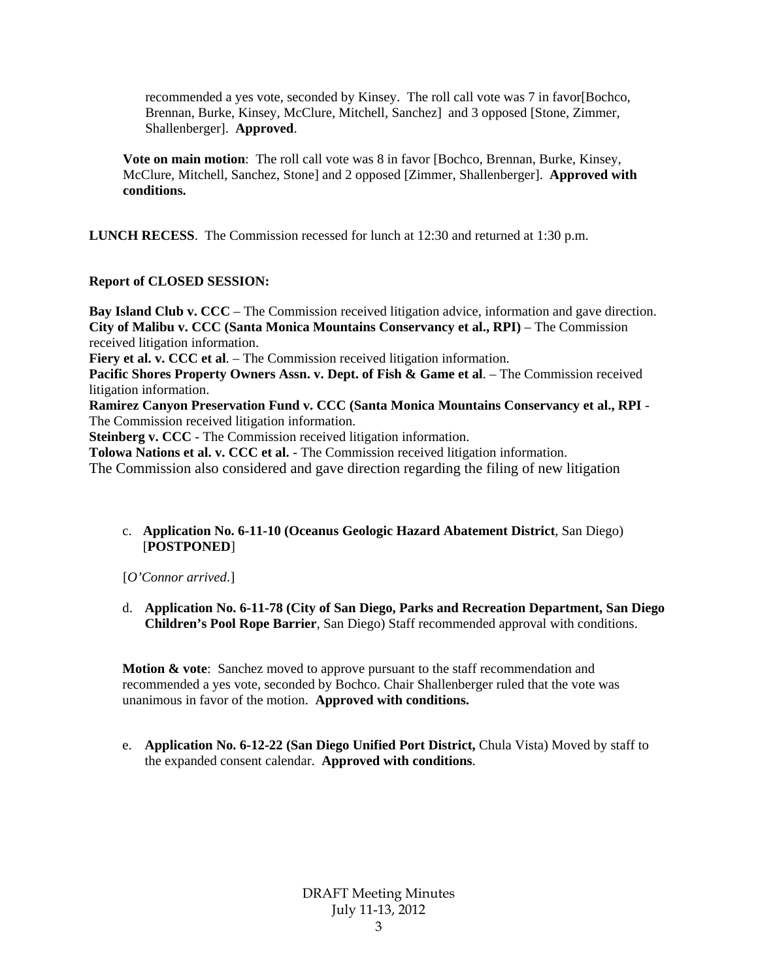recommended a yes vote, seconded by Kinsey. The roll call vote was 7 in favor[Bochco, Brennan, Burke, Kinsey, McClure, Mitchell, Sanchez] and 3 opposed [Stone, Zimmer, Shallenberger]. **Approved**.

**Vote on main motion**: The roll call vote was 8 in favor [Bochco, Brennan, Burke, Kinsey, McClure, Mitchell, Sanchez, Stone] and 2 opposed [Zimmer, Shallenberger]. **Approved with conditions.**

**LUNCH RECESS**. The Commission recessed for lunch at 12:30 and returned at 1:30 p.m.

### **Report of CLOSED SESSION:**

**Bay Island Club v. CCC** – The Commission received litigation advice, information and gave direction. **City of Malibu v. CCC (Santa Monica Mountains Conservancy et al., RPI)** – The Commission received litigation information.

**Fiery et al. v. CCC et al.** – The Commission received litigation information.

**Pacific Shores Property Owners Assn. v. Dept. of Fish & Game et al**. – The Commission received litigation information.

**Ramirez Canyon Preservation Fund v. CCC (Santa Monica Mountains Conservancy et al., RPI** - The Commission received litigation information.

**Steinberg v. CCC** - The Commission received litigation information.

**Tolowa Nations et al. v. CCC et al.** - The Commission received litigation information.

The Commission also considered and gave direction regarding the filing of new litigation

c. **Application No. 6-11-10 (Oceanus Geologic Hazard Abatement District**, San Diego) [**POSTPONED**]

[*O'Connor arrived*.]

d. **Application No. 6-11-78 (City of San Diego, Parks and Recreation Department, San Diego Children's Pool Rope Barrier**, San Diego) Staff recommended approval with conditions.

**Motion & vote**: Sanchez moved to approve pursuant to the staff recommendation and recommended a yes vote, seconded by Bochco. Chair Shallenberger ruled that the vote was unanimous in favor of the motion. **Approved with conditions.** 

e. **Application No. 6-12-22 (San Diego Unified Port District,** Chula Vista) Moved by staff to the expanded consent calendar. **Approved with conditions**.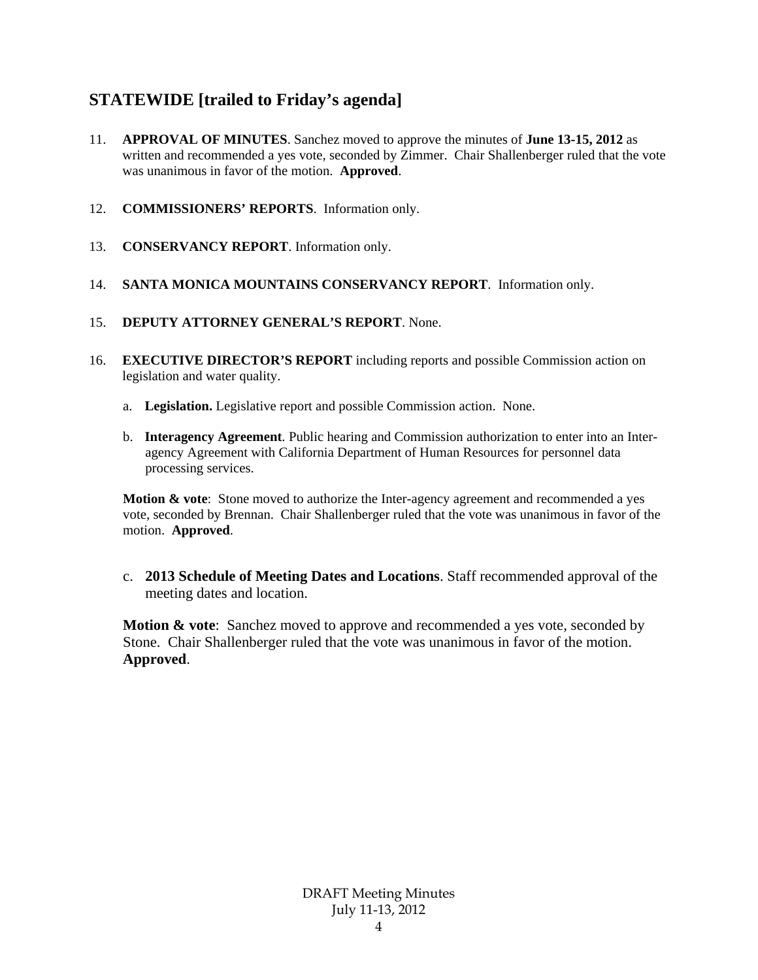# **STATEWIDE [trailed to Friday's agenda]**

- 11. **APPROVAL OF MINUTES**. Sanchez moved to approve the minutes of **June 13-15, 2012** as written and recommended a yes vote, seconded by Zimmer. Chair Shallenberger ruled that the vote was unanimous in favor of the motion. **Approved**.
- 12. **COMMISSIONERS' REPORTS**. Information only.
- 13. **CONSERVANCY REPORT**. Information only.
- 14. **SANTA MONICA MOUNTAINS CONSERVANCY REPORT**. Information only.
- 15. **DEPUTY ATTORNEY GENERAL'S REPORT**. None.
- 16. **EXECUTIVE DIRECTOR'S REPORT** including reports and possible Commission action on legislation and water quality.
	- a. **Legislation.** Legislative report and possible Commission action. None.
	- b. **Interagency Agreement**. Public hearing and Commission authorization to enter into an Interagency Agreement with California Department of Human Resources for personnel data processing services.

**Motion & vote**: Stone moved to authorize the Inter-agency agreement and recommended a yes vote, seconded by Brennan. Chair Shallenberger ruled that the vote was unanimous in favor of the motion. **Approved**.

c. **2013 Schedule of Meeting Dates and Locations**. Staff recommended approval of the meeting dates and location.

**Motion & vote:** Sanchez moved to approve and recommended a yes vote, seconded by Stone. Chair Shallenberger ruled that the vote was unanimous in favor of the motion. **Approved**.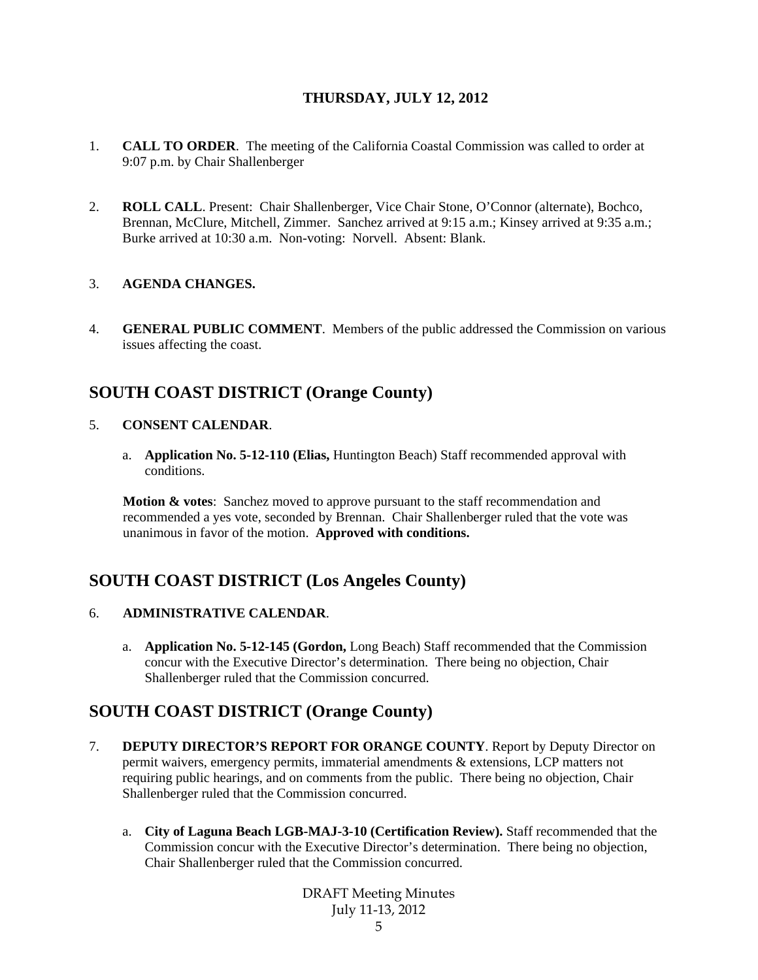## **THURSDAY, JULY 12, 2012**

- 1. **CALL TO ORDER**. The meeting of the California Coastal Commission was called to order at 9:07 p.m. by Chair Shallenberger
- 2. **ROLL CALL**. Present: Chair Shallenberger, Vice Chair Stone, O'Connor (alternate), Bochco, Brennan, McClure, Mitchell, Zimmer. Sanchez arrived at 9:15 a.m.; Kinsey arrived at 9:35 a.m.; Burke arrived at 10:30 a.m. Non-voting: Norvell. Absent: Blank.

### 3. **AGENDA CHANGES.**

4. **GENERAL PUBLIC COMMENT**. Members of the public addressed the Commission on various issues affecting the coast.

## **SOUTH COAST DISTRICT (Orange County)**

- 5. **CONSENT CALENDAR**.
	- a. **Application No. 5-12-110 (Elias,** Huntington Beach) Staff recommended approval with conditions.

**Motion & votes**: Sanchez moved to approve pursuant to the staff recommendation and recommended a yes vote, seconded by Brennan. Chair Shallenberger ruled that the vote was unanimous in favor of the motion. **Approved with conditions.**

## **SOUTH COAST DISTRICT (Los Angeles County)**

### 6. **ADMINISTRATIVE CALENDAR**.

a. **Application No. 5-12-145 (Gordon,** Long Beach) Staff recommended that the Commission concur with the Executive Director's determination. There being no objection, Chair Shallenberger ruled that the Commission concurred.

## **SOUTH COAST DISTRICT (Orange County)**

- 7. **DEPUTY DIRECTOR'S REPORT FOR ORANGE COUNTY**. Report by Deputy Director on permit waivers, emergency permits, immaterial amendments & extensions, LCP matters not requiring public hearings, and on comments from the public. There being no objection, Chair Shallenberger ruled that the Commission concurred.
	- a. **City of Laguna Beach LGB-MAJ-3-10 (Certification Review).** Staff recommended that the Commission concur with the Executive Director's determination. There being no objection, Chair Shallenberger ruled that the Commission concurred.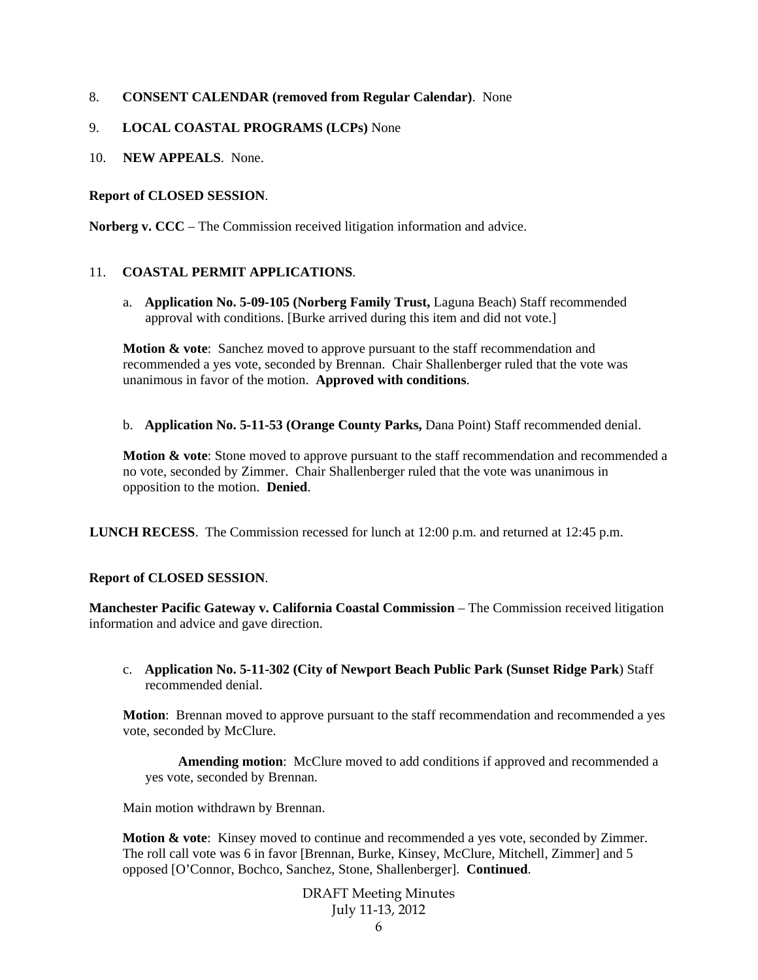### 8. **CONSENT CALENDAR (removed from Regular Calendar)**. None

### 9. **LOCAL COASTAL PROGRAMS (LCPs)** None

10. **NEW APPEALS**. None.

### **Report of CLOSED SESSION**.

**Norberg v. CCC** – The Commission received litigation information and advice.

### 11. **COASTAL PERMIT APPLICATIONS**.

a. **Application No. 5-09-105 (Norberg Family Trust,** Laguna Beach) Staff recommended approval with conditions. [Burke arrived during this item and did not vote.]

**Motion & vote**: Sanchez moved to approve pursuant to the staff recommendation and recommended a yes vote, seconded by Brennan. Chair Shallenberger ruled that the vote was unanimous in favor of the motion. **Approved with conditions**.

b. **Application No. 5-11-53 (Orange County Parks,** Dana Point) Staff recommended denial.

**Motion & vote**: Stone moved to approve pursuant to the staff recommendation and recommended a no vote, seconded by Zimmer. Chair Shallenberger ruled that the vote was unanimous in opposition to the motion. **Denied**.

**LUNCH RECESS**. The Commission recessed for lunch at 12:00 p.m. and returned at 12:45 p.m.

#### **Report of CLOSED SESSION**.

**Manchester Pacific Gateway v. California Coastal Commission** – The Commission received litigation information and advice and gave direction.

c. **Application No. 5-11-302 (City of Newport Beach Public Park (Sunset Ridge Park**) Staff recommended denial.

**Motion**: Brennan moved to approve pursuant to the staff recommendation and recommended a yes vote, seconded by McClure.

**Amending motion**: McClure moved to add conditions if approved and recommended a yes vote, seconded by Brennan.

Main motion withdrawn by Brennan.

**Motion & vote**: Kinsey moved to continue and recommended a yes vote, seconded by Zimmer. The roll call vote was 6 in favor [Brennan, Burke, Kinsey, McClure, Mitchell, Zimmer] and 5 opposed [O'Connor, Bochco, Sanchez, Stone, Shallenberger]. **Continued**.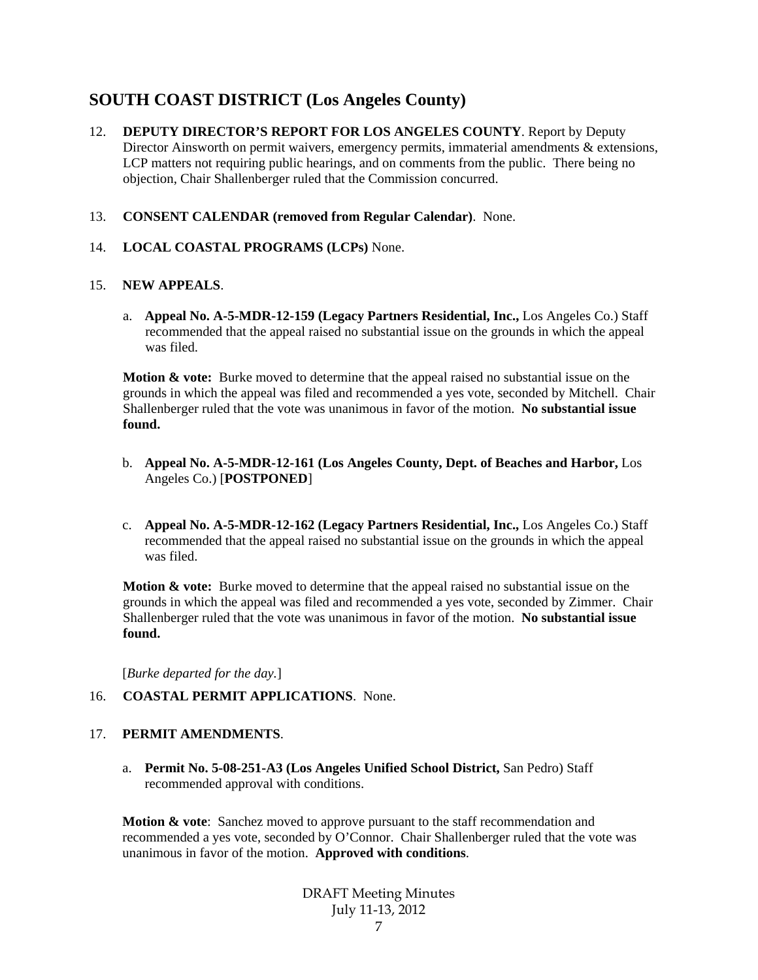# **SOUTH COAST DISTRICT (Los Angeles County)**

- 12. **DEPUTY DIRECTOR'S REPORT FOR LOS ANGELES COUNTY**. Report by Deputy Director Ainsworth on permit waivers, emergency permits, immaterial amendments & extensions, LCP matters not requiring public hearings, and on comments from the public. There being no objection, Chair Shallenberger ruled that the Commission concurred.
- 13. **CONSENT CALENDAR (removed from Regular Calendar)**. None.
- 14. **LOCAL COASTAL PROGRAMS (LCPs)** None.

## 15. **NEW APPEALS**.

a. **Appeal No. A-5-MDR-12-159 (Legacy Partners Residential, Inc.,** Los Angeles Co.) Staff recommended that the appeal raised no substantial issue on the grounds in which the appeal was filed.

**Motion & vote:** Burke moved to determine that the appeal raised no substantial issue on the grounds in which the appeal was filed and recommended a yes vote, seconded by Mitchell. Chair Shallenberger ruled that the vote was unanimous in favor of the motion. **No substantial issue found.** 

- b. **Appeal No. A-5-MDR-12-161 (Los Angeles County, Dept. of Beaches and Harbor,** Los Angeles Co.) [**POSTPONED**]
- c. **Appeal No. A-5-MDR-12-162 (Legacy Partners Residential, Inc.,** Los Angeles Co.) Staff recommended that the appeal raised no substantial issue on the grounds in which the appeal was filed.

**Motion & vote:** Burke moved to determine that the appeal raised no substantial issue on the grounds in which the appeal was filed and recommended a yes vote, seconded by Zimmer. Chair Shallenberger ruled that the vote was unanimous in favor of the motion. **No substantial issue found.** 

[*Burke departed for the day.*]

#### 16. **COASTAL PERMIT APPLICATIONS**. None.

## 17. **PERMIT AMENDMENTS**.

a. **Permit No. 5-08-251-A3 (Los Angeles Unified School District,** San Pedro) Staff recommended approval with conditions.

**Motion & vote:** Sanchez moved to approve pursuant to the staff recommendation and recommended a yes vote, seconded by O'Connor. Chair Shallenberger ruled that the vote was unanimous in favor of the motion. **Approved with conditions**.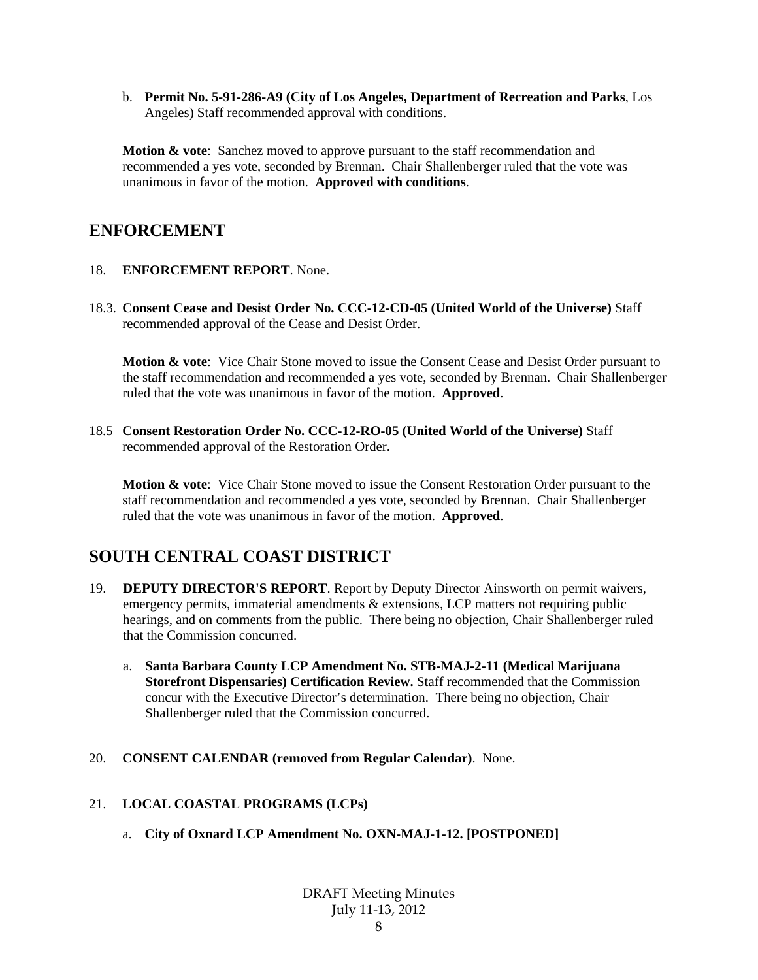b. **Permit No. 5-91-286-A9 (City of Los Angeles, Department of Recreation and Parks**, Los Angeles) Staff recommended approval with conditions.

**Motion & vote**: Sanchez moved to approve pursuant to the staff recommendation and recommended a yes vote, seconded by Brennan. Chair Shallenberger ruled that the vote was unanimous in favor of the motion. **Approved with conditions**.

## **ENFORCEMENT**

- 18. **ENFORCEMENT REPORT**. None.
- 18.3. **Consent Cease and Desist Order No. CCC-12-CD-05 (United World of the Universe)** Staff recommended approval of the Cease and Desist Order.

**Motion & vote:** Vice Chair Stone moved to issue the Consent Cease and Desist Order pursuant to the staff recommendation and recommended a yes vote, seconded by Brennan. Chair Shallenberger ruled that the vote was unanimous in favor of the motion. **Approved**.

18.5 **Consent Restoration Order No. CCC-12-RO-05 (United World of the Universe)** Staff recommended approval of the Restoration Order.

**Motion & vote**: Vice Chair Stone moved to issue the Consent Restoration Order pursuant to the staff recommendation and recommended a yes vote, seconded by Brennan. Chair Shallenberger ruled that the vote was unanimous in favor of the motion. **Approved**.

# **SOUTH CENTRAL COAST DISTRICT**

- 19. **DEPUTY DIRECTOR'S REPORT**. Report by Deputy Director Ainsworth on permit waivers, emergency permits, immaterial amendments & extensions, LCP matters not requiring public hearings, and on comments from the public. There being no objection, Chair Shallenberger ruled that the Commission concurred.
	- a. **Santa Barbara County LCP Amendment No. STB-MAJ-2-11 (Medical Marijuana Storefront Dispensaries) Certification Review.** Staff recommended that the Commission concur with the Executive Director's determination. There being no objection, Chair Shallenberger ruled that the Commission concurred.
- 20. **CONSENT CALENDAR (removed from Regular Calendar)**. None.

## 21. **LOCAL COASTAL PROGRAMS (LCPs)**

a. **City of Oxnard LCP Amendment No. OXN-MAJ-1-12. [POSTPONED]**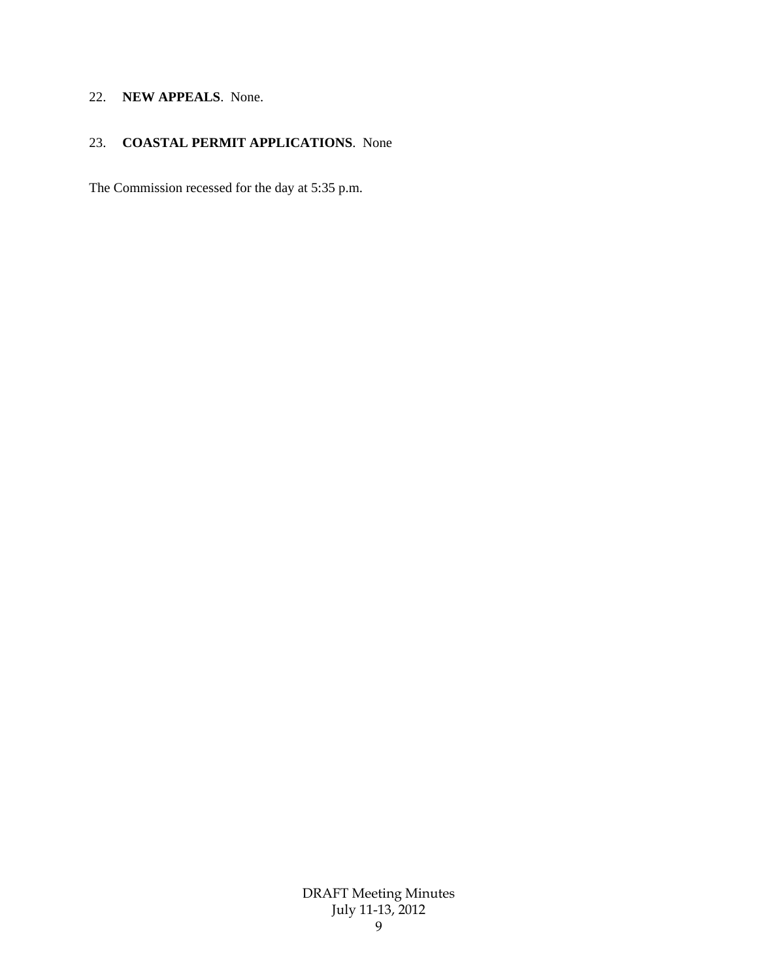## 22. **NEW APPEALS**. None.

## 23. **COASTAL PERMIT APPLICATIONS**. None

The Commission recessed for the day at 5:35 p.m.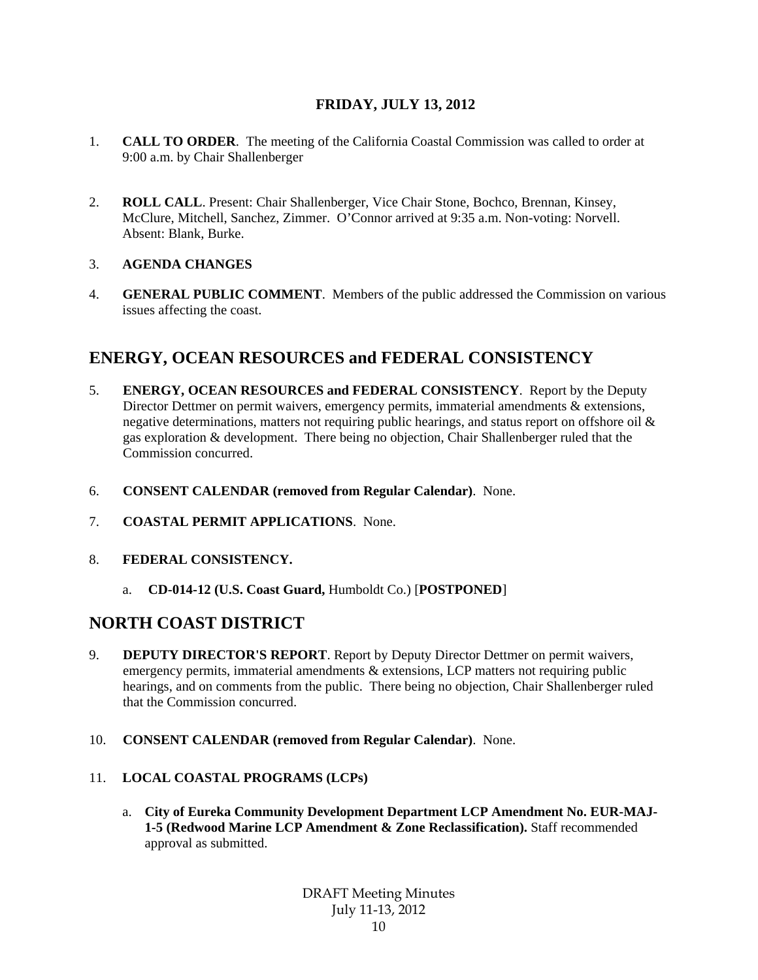## **FRIDAY, JULY 13, 2012**

- 1. **CALL TO ORDER**. The meeting of the California Coastal Commission was called to order at 9:00 a.m. by Chair Shallenberger
- 2. **ROLL CALL**. Present: Chair Shallenberger, Vice Chair Stone, Bochco, Brennan, Kinsey, McClure, Mitchell, Sanchez, Zimmer. O'Connor arrived at 9:35 a.m. Non-voting: Norvell. Absent: Blank, Burke.

## 3. **AGENDA CHANGES**

4. **GENERAL PUBLIC COMMENT**. Members of the public addressed the Commission on various issues affecting the coast.

# **ENERGY, OCEAN RESOURCES and FEDERAL CONSISTENCY**

- 5. **ENERGY, OCEAN RESOURCES and FEDERAL CONSISTENCY**. Report by the Deputy Director Dettmer on permit waivers, emergency permits, immaterial amendments & extensions, negative determinations, matters not requiring public hearings, and status report on offshore oil & gas exploration & development. There being no objection, Chair Shallenberger ruled that the Commission concurred.
- 6. **CONSENT CALENDAR (removed from Regular Calendar)**. None.
- 7. **COASTAL PERMIT APPLICATIONS**. None.
- 8. **FEDERAL CONSISTENCY.** 
	- a. **CD-014-12 (U.S. Coast Guard,** Humboldt Co.) [**POSTPONED**]

## **NORTH COAST DISTRICT**

- 9. **DEPUTY DIRECTOR'S REPORT**. Report by Deputy Director Dettmer on permit waivers, emergency permits, immaterial amendments & extensions, LCP matters not requiring public hearings, and on comments from the public. There being no objection, Chair Shallenberger ruled that the Commission concurred.
- 10. **CONSENT CALENDAR (removed from Regular Calendar)**. None.
- 11. **LOCAL COASTAL PROGRAMS (LCPs)**
	- a. **City of Eureka Community Development Department LCP Amendment No. EUR-MAJ-1-5 (Redwood Marine LCP Amendment & Zone Reclassification).** Staff recommended approval as submitted.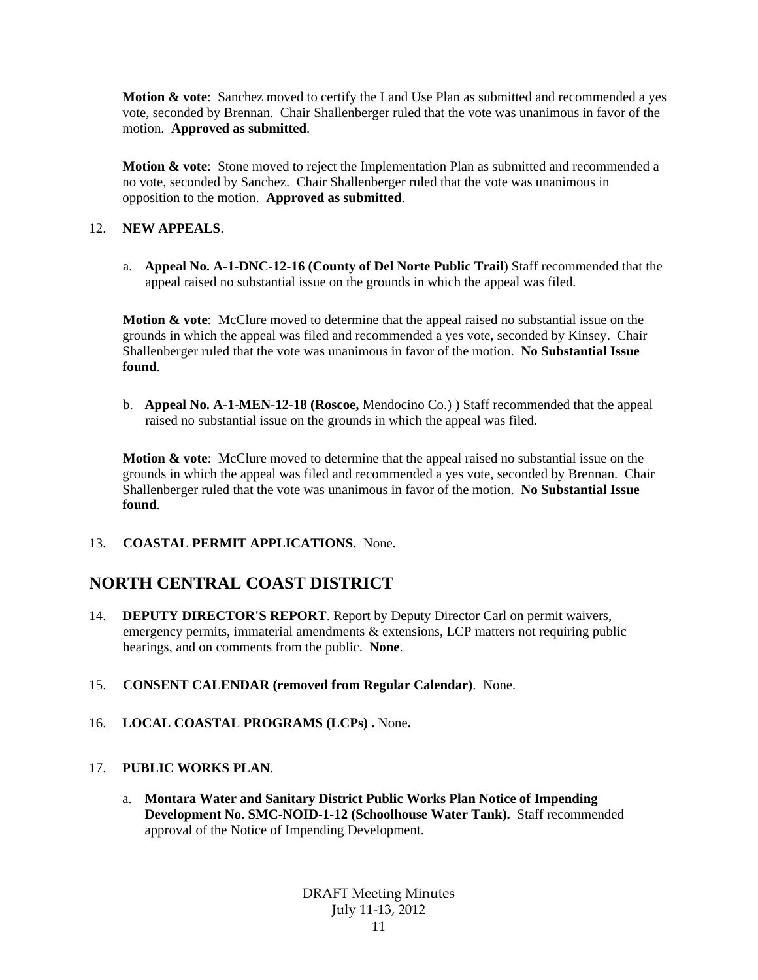**Motion & vote**: Sanchez moved to certify the Land Use Plan as submitted and recommended a yes vote, seconded by Brennan. Chair Shallenberger ruled that the vote was unanimous in favor of the motion. **Approved as submitted**.

**Motion & vote**: Stone moved to reject the Implementation Plan as submitted and recommended a no vote, seconded by Sanchez. Chair Shallenberger ruled that the vote was unanimous in opposition to the motion. **Approved as submitted**.

## 12. **NEW APPEALS**.

a. **Appeal No. A-1-DNC-12-16 (County of Del Norte Public Trail**) Staff recommended that the appeal raised no substantial issue on the grounds in which the appeal was filed.

**Motion & vote**: McClure moved to determine that the appeal raised no substantial issue on the grounds in which the appeal was filed and recommended a yes vote, seconded by Kinsey. Chair Shallenberger ruled that the vote was unanimous in favor of the motion. **No Substantial Issue found**.

b. **Appeal No. A-1-MEN-12-18 (Roscoe,** Mendocino Co.) ) Staff recommended that the appeal raised no substantial issue on the grounds in which the appeal was filed.

**Motion & vote**: McClure moved to determine that the appeal raised no substantial issue on the grounds in which the appeal was filed and recommended a yes vote, seconded by Brennan. Chair Shallenberger ruled that the vote was unanimous in favor of the motion. **No Substantial Issue found**.

## 13. **COASTAL PERMIT APPLICATIONS.** None**.**

# **NORTH CENTRAL COAST DISTRICT**

- 14. **DEPUTY DIRECTOR'S REPORT**. Report by Deputy Director Carl on permit waivers, emergency permits, immaterial amendments & extensions, LCP matters not requiring public hearings, and on comments from the public. **None**.
- 15. **CONSENT CALENDAR (removed from Regular Calendar)**. None.
- 16. **LOCAL COASTAL PROGRAMS (LCPs) .** None**.**

## 17. **PUBLIC WORKS PLAN**.

a. **Montara Water and Sanitary District Public Works Plan Notice of Impending Development No. SMC-NOID-1-12 (Schoolhouse Water Tank).** Staff recommended approval of the Notice of Impending Development.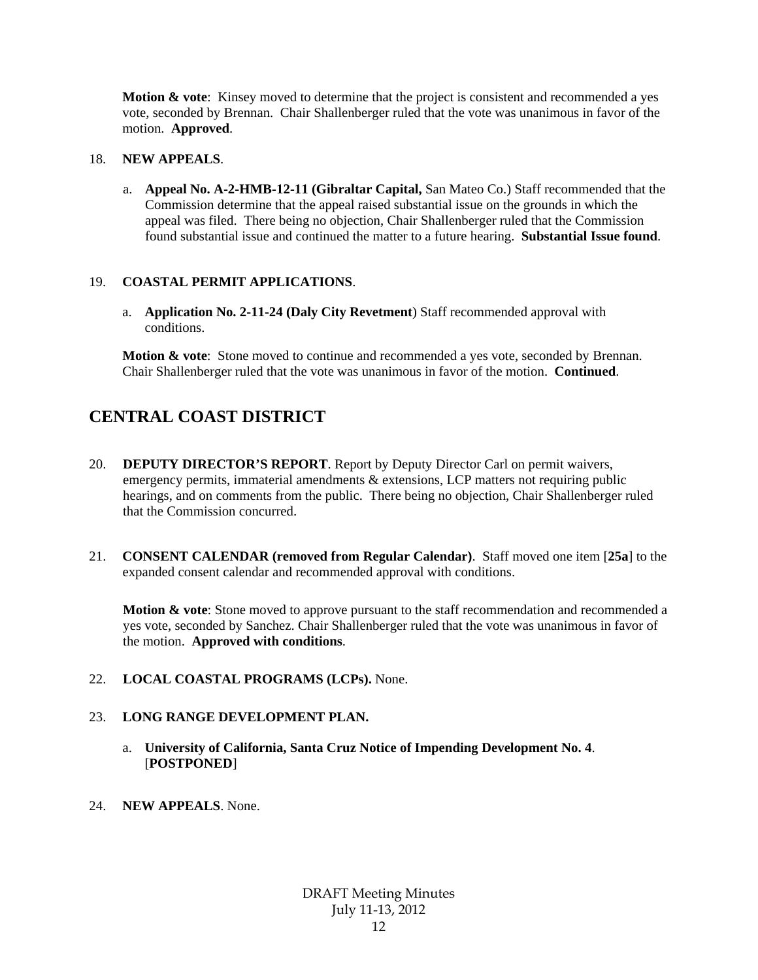**Motion & vote:** Kinsey moved to determine that the project is consistent and recommended a yes vote, seconded by Brennan. Chair Shallenberger ruled that the vote was unanimous in favor of the motion. **Approved**.

#### 18. **NEW APPEALS**.

a. **Appeal No. A-2-HMB-12-11 (Gibraltar Capital,** San Mateo Co.) Staff recommended that the Commission determine that the appeal raised substantial issue on the grounds in which the appeal was filed. There being no objection, Chair Shallenberger ruled that the Commission found substantial issue and continued the matter to a future hearing. **Substantial Issue found**.

#### 19. **COASTAL PERMIT APPLICATIONS**.

a. **Application No. 2-11-24 (Daly City Revetment**) Staff recommended approval with conditions.

**Motion & vote:** Stone moved to continue and recommended a yes vote, seconded by Brennan. Chair Shallenberger ruled that the vote was unanimous in favor of the motion. **Continued**.

# **CENTRAL COAST DISTRICT**

- 20. **DEPUTY DIRECTOR'S REPORT**. Report by Deputy Director Carl on permit waivers, emergency permits, immaterial amendments & extensions, LCP matters not requiring public hearings, and on comments from the public. There being no objection, Chair Shallenberger ruled that the Commission concurred.
- 21. **CONSENT CALENDAR (removed from Regular Calendar)**. Staff moved one item [**25a**] to the expanded consent calendar and recommended approval with conditions.

**Motion & vote:** Stone moved to approve pursuant to the staff recommendation and recommended a yes vote, seconded by Sanchez. Chair Shallenberger ruled that the vote was unanimous in favor of the motion. **Approved with conditions**.

22. **LOCAL COASTAL PROGRAMS (LCPs).** None.

## 23. **LONG RANGE DEVELOPMENT PLAN.**

- a. **University of California, Santa Cruz Notice of Impending Development No. 4**. [**POSTPONED**]
- 24. **NEW APPEALS**. None.